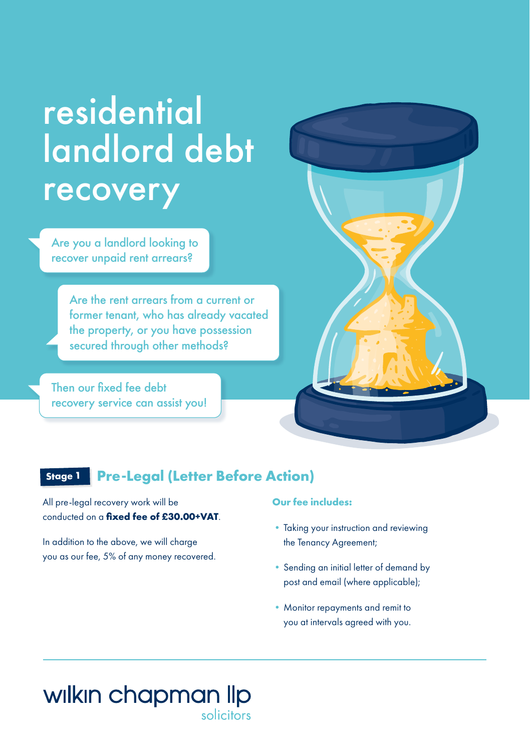# residential landlord debt recovery

Are you a landlord looking to recover unpaid rent arrears?

> Are the rent arrears from a current or former tenant, who has already vacated the property, or you have possession secured through other methods?

Then our fixed fee debt recovery service can assist you!



#### **Pre-Legal (Letter Before Action) Stage 1**

All pre-legal recovery work will be conducted on a **fixed fee of £30.00+VAT**.

In addition to the above, we will charge you as our fee, 5% of any money recovered.

#### **Our fee includes:**

- Taking your instruction and reviewing the Tenancy Agreement;
- Sending an initial letter of demand by post and email (where applicable);
- Monitor repayments and remit to you at intervals agreed with you.

## wilkin chapman lip solicitors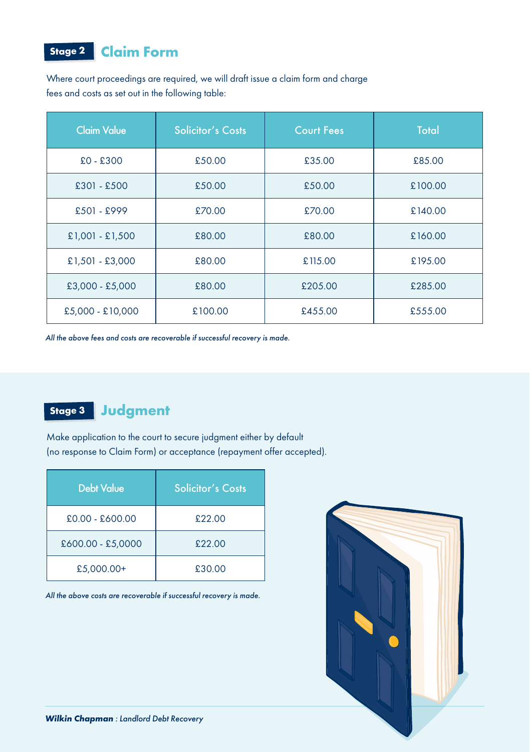#### **Claim Form Stage 2**

Where court proceedings are required, we will draft issue a claim form and charge fees and costs as set out in the following table:

| <b>Claim Value</b> | <b>Solicitor's Costs</b> | <b>Court Fees</b> | <b>Total</b> |
|--------------------|--------------------------|-------------------|--------------|
| $£0 - £300$        | £50.00                   | £35.00            | £85.00       |
| $£301 - £500$      | £50.00                   | £50.00            | £100.00      |
| $£501 - £999$      | £70.00                   | £70.00            | £140.00      |
| $£1,001 - £1,500$  | £80.00                   | £80.00            | £160.00      |
| $£1,501 - £3,000$  | £80.00                   | £115.00           | £195.00      |
| £3,000 - £5,000    | £80.00                   | £205.00           | £285.00      |
| $£5,000 - £10,000$ | £100.00                  | £455.00           | £555.00      |

*All the above fees and costs are recoverable if successful recovery is made.*

#### **Judgment Stage 3**

Make application to the court to secure judgment either by default (no response to Claim Form) or acceptance (repayment offer accepted).

| <b>Debt Value</b> | <b>Solicitor's Costs</b> |  |
|-------------------|--------------------------|--|
| $0.000 - 0.003$   | £22.00                   |  |
| £600.00 - £5,0000 | £22.00                   |  |
| £5,000.00+        | £30.00                   |  |

*All the above costs are recoverable if successful recovery is made.*

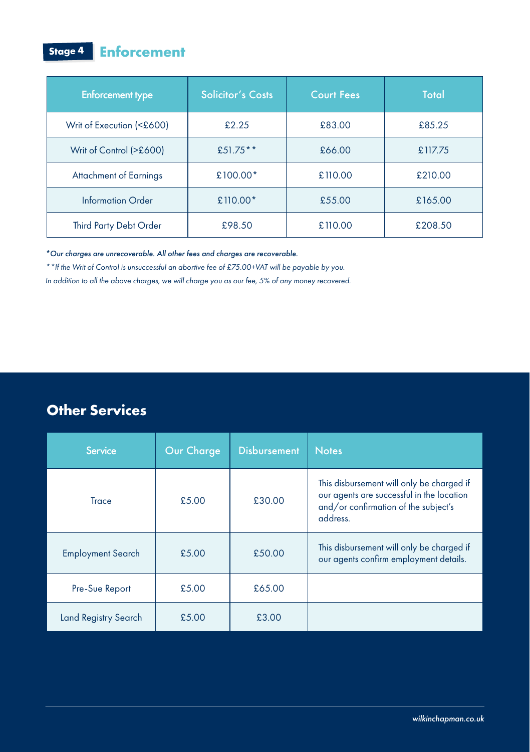#### **Enforcement Stage 4**

| <b>Enforcement type</b>       | Solicitor's Costs | <b>Court Fees</b> | Total   |
|-------------------------------|-------------------|-------------------|---------|
| Writ of Execution (<£600)     | £2.25             | £83.00            | £85.25  |
| Writ of Control (>£600)       | £51.75**          | £66.00            | £117.75 |
| <b>Attachment of Earnings</b> | £100.00*          | £110.00           | £210.00 |
| <b>Information Order</b>      | £110.00*          | £55.00            | £165.00 |
| <b>Third Party Debt Order</b> | £98.50            | £110.00           | £208.50 |

*\*Our charges are unrecoverable. All other fees and charges are recoverable.*

*\*\*If the Writ of Control is unsuccessful an abortive fee of £75.00+VAT will be payable by you.*

*In addition to all the above charges, we will charge you as our fee, 5% of any money recovered.*

### **Other Services**

| Service                     | Our Charge | <b>Disbursement</b> | <b>Notes</b>                                                                                                                               |
|-----------------------------|------------|---------------------|--------------------------------------------------------------------------------------------------------------------------------------------|
| Trace                       | £5.00      | £30.00              | This disbursement will only be charged if<br>our agents are successful in the location<br>and/or confirmation of the subject's<br>address. |
| <b>Employment Search</b>    | £5.00      | £50.00              | This disbursement will only be charged if<br>our agents confirm employment details.                                                        |
| Pre-Sue Report              | £5.00      | £65.00              |                                                                                                                                            |
| <b>Land Registry Search</b> | £5.00      | £3.00               |                                                                                                                                            |